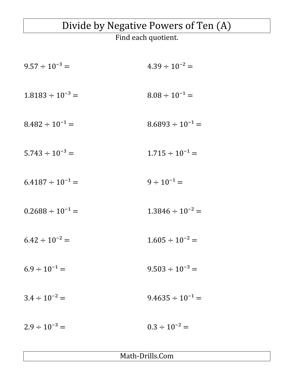## Divide by Negative Powers of Ten (A)

Find each quotient.

| $9.57 \div 10^{-3} =$   | $4.39 \div 10^{-2} =$   |
|-------------------------|-------------------------|
| $1.8183 \div 10^{-3} =$ | $8.08 \div 10^{-1} =$   |
| $8.482 \div 10^{-1} =$  | $8.6893 \div 10^{-1} =$ |
| $5.743 \div 10^{-3} =$  | $1.715 \div 10^{-1} =$  |
| $6.4187 \div 10^{-1} =$ | $9 \div 10^{-1} =$      |
| $0.2688 \div 10^{-1} =$ | $1.3846 \div 10^{-2} =$ |
| $6.42 \div 10^{-2} =$   | $1.605 \div 10^{-2} =$  |
| $6.9 \div 10^{-1} =$    | $9.503 \div 10^{-3} =$  |
| $3.4 \div 10^{-2} =$    | $9.4635 \div 10^{-1} =$ |
| $2.9 \div 10^{-3} =$    | $0.3 \div 10^{-2} =$    |